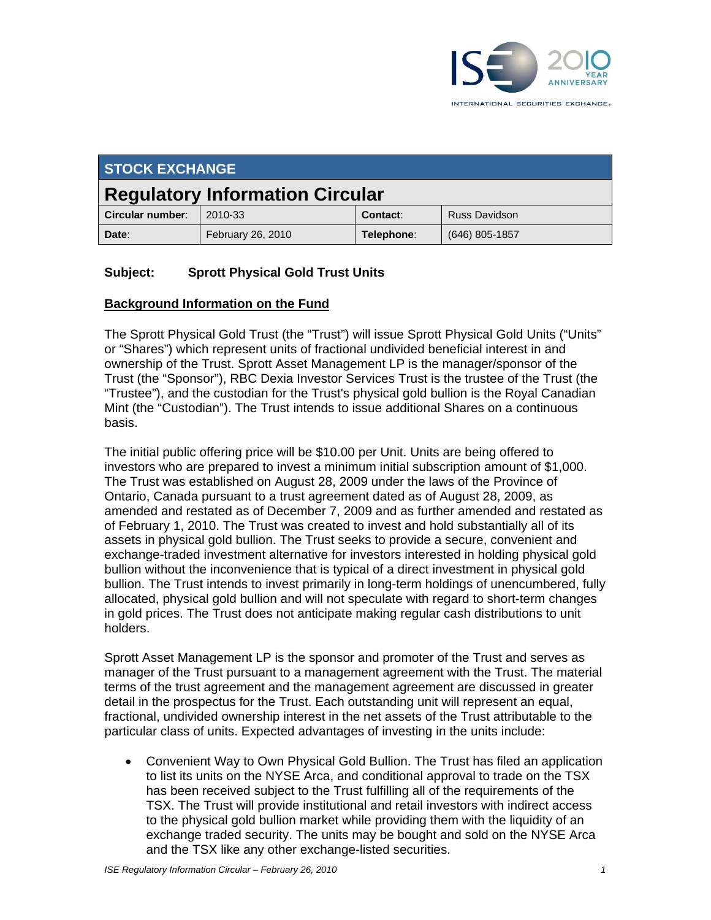

| <b>STOCK EXCHANGE</b>                  |                   |            |                      |
|----------------------------------------|-------------------|------------|----------------------|
| <b>Regulatory Information Circular</b> |                   |            |                      |
| Circular number:                       | 2010-33           | Contact:   | <b>Russ Davidson</b> |
| Date:                                  | February 26, 2010 | Telephone: | $(646)$ 805-1857     |

## **Subject: Sprott Physical Gold Trust Units**

#### **Background Information on the Fund**

The Sprott Physical Gold Trust (the "Trust") will issue Sprott Physical Gold Units ("Units" or "Shares") which represent units of fractional undivided beneficial interest in and ownership of the Trust. Sprott Asset Management LP is the manager/sponsor of the Trust (the "Sponsor"), RBC Dexia Investor Services Trust is the trustee of the Trust (the "Trustee"), and the custodian for the Trust's physical gold bullion is the Royal Canadian Mint (the "Custodian"). The Trust intends to issue additional Shares on a continuous basis.

The initial public offering price will be \$10.00 per Unit. Units are being offered to investors who are prepared to invest a minimum initial subscription amount of \$1,000. The Trust was established on August 28, 2009 under the laws of the Province of Ontario, Canada pursuant to a trust agreement dated as of August 28, 2009, as amended and restated as of December 7, 2009 and as further amended and restated as of February 1, 2010. The Trust was created to invest and hold substantially all of its assets in physical gold bullion. The Trust seeks to provide a secure, convenient and exchange-traded investment alternative for investors interested in holding physical gold bullion without the inconvenience that is typical of a direct investment in physical gold bullion. The Trust intends to invest primarily in long-term holdings of unencumbered, fully allocated, physical gold bullion and will not speculate with regard to short-term changes in gold prices. The Trust does not anticipate making regular cash distributions to unit holders.

Sprott Asset Management LP is the sponsor and promoter of the Trust and serves as manager of the Trust pursuant to a management agreement with the Trust. The material terms of the trust agreement and the management agreement are discussed in greater detail in the prospectus for the Trust. Each outstanding unit will represent an equal, fractional, undivided ownership interest in the net assets of the Trust attributable to the particular class of units. Expected advantages of investing in the units include:

 Convenient Way to Own Physical Gold Bullion. The Trust has filed an application to list its units on the NYSE Arca, and conditional approval to trade on the TSX has been received subject to the Trust fulfilling all of the requirements of the TSX. The Trust will provide institutional and retail investors with indirect access to the physical gold bullion market while providing them with the liquidity of an exchange traded security. The units may be bought and sold on the NYSE Arca and the TSX like any other exchange-listed securities.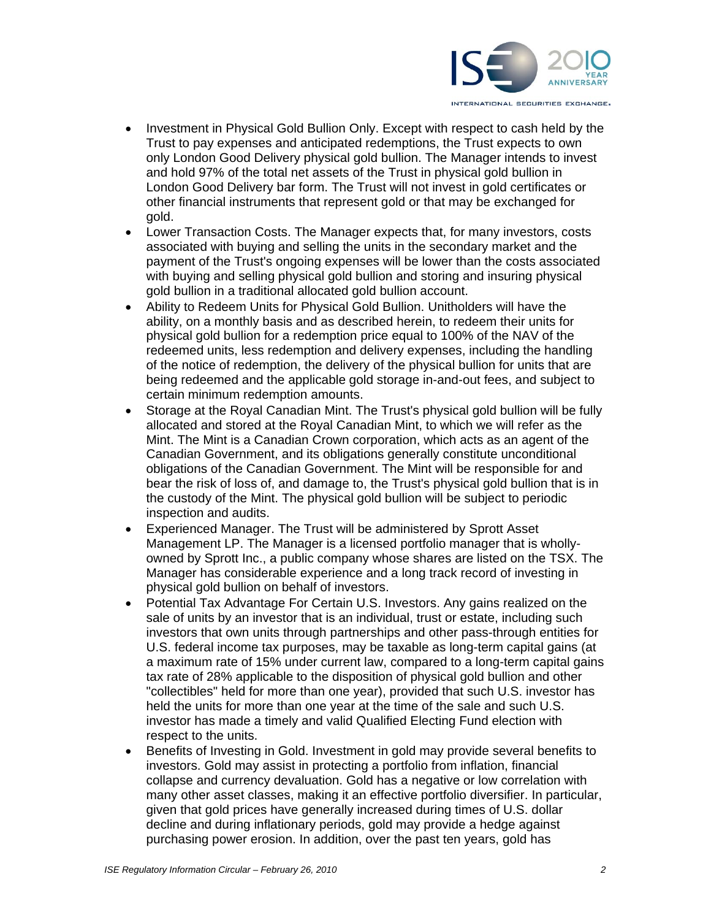

- Investment in Physical Gold Bullion Only. Except with respect to cash held by the Trust to pay expenses and anticipated redemptions, the Trust expects to own only London Good Delivery physical gold bullion. The Manager intends to invest and hold 97% of the total net assets of the Trust in physical gold bullion in London Good Delivery bar form. The Trust will not invest in gold certificates or other financial instruments that represent gold or that may be exchanged for gold.
- Lower Transaction Costs. The Manager expects that, for many investors, costs associated with buying and selling the units in the secondary market and the payment of the Trust's ongoing expenses will be lower than the costs associated with buying and selling physical gold bullion and storing and insuring physical gold bullion in a traditional allocated gold bullion account.
- Ability to Redeem Units for Physical Gold Bullion. Unitholders will have the ability, on a monthly basis and as described herein, to redeem their units for physical gold bullion for a redemption price equal to 100% of the NAV of the redeemed units, less redemption and delivery expenses, including the handling of the notice of redemption, the delivery of the physical bullion for units that are being redeemed and the applicable gold storage in-and-out fees, and subject to certain minimum redemption amounts.
- Storage at the Royal Canadian Mint. The Trust's physical gold bullion will be fully allocated and stored at the Royal Canadian Mint, to which we will refer as the Mint. The Mint is a Canadian Crown corporation, which acts as an agent of the Canadian Government, and its obligations generally constitute unconditional obligations of the Canadian Government. The Mint will be responsible for and bear the risk of loss of, and damage to, the Trust's physical gold bullion that is in the custody of the Mint. The physical gold bullion will be subject to periodic inspection and audits.
- Experienced Manager. The Trust will be administered by Sprott Asset Management LP. The Manager is a licensed portfolio manager that is whollyowned by Sprott Inc., a public company whose shares are listed on the TSX. The Manager has considerable experience and a long track record of investing in physical gold bullion on behalf of investors.
- Potential Tax Advantage For Certain U.S. Investors. Any gains realized on the sale of units by an investor that is an individual, trust or estate, including such investors that own units through partnerships and other pass-through entities for U.S. federal income tax purposes, may be taxable as long-term capital gains (at a maximum rate of 15% under current law, compared to a long-term capital gains tax rate of 28% applicable to the disposition of physical gold bullion and other "collectibles" held for more than one year), provided that such U.S. investor has held the units for more than one year at the time of the sale and such U.S. investor has made a timely and valid Qualified Electing Fund election with respect to the units.
- Benefits of Investing in Gold. Investment in gold may provide several benefits to investors. Gold may assist in protecting a portfolio from inflation, financial collapse and currency devaluation. Gold has a negative or low correlation with many other asset classes, making it an effective portfolio diversifier. In particular, given that gold prices have generally increased during times of U.S. dollar decline and during inflationary periods, gold may provide a hedge against purchasing power erosion. In addition, over the past ten years, gold has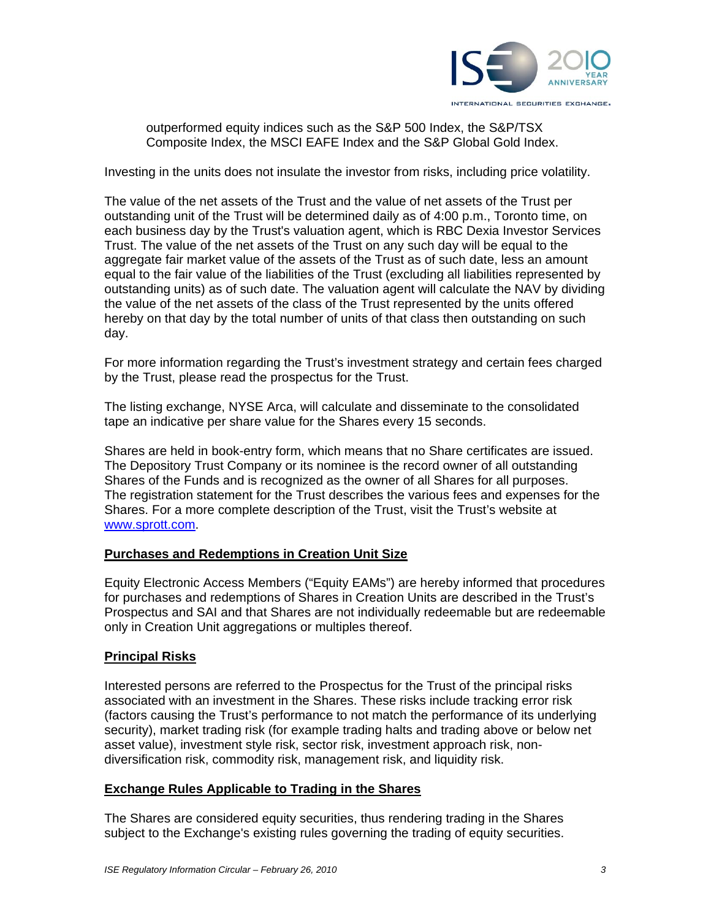

outperformed equity indices such as the S&P 500 Index, the S&P/TSX Composite Index, the MSCI EAFE Index and the S&P Global Gold Index.

Investing in the units does not insulate the investor from risks, including price volatility.

The value of the net assets of the Trust and the value of net assets of the Trust per outstanding unit of the Trust will be determined daily as of 4:00 p.m., Toronto time, on each business day by the Trust's valuation agent, which is RBC Dexia Investor Services Trust. The value of the net assets of the Trust on any such day will be equal to the aggregate fair market value of the assets of the Trust as of such date, less an amount equal to the fair value of the liabilities of the Trust (excluding all liabilities represented by outstanding units) as of such date. The valuation agent will calculate the NAV by dividing the value of the net assets of the class of the Trust represented by the units offered hereby on that day by the total number of units of that class then outstanding on such day.

For more information regarding the Trust's investment strategy and certain fees charged by the Trust, please read the prospectus for the Trust.

The listing exchange, NYSE Arca, will calculate and disseminate to the consolidated tape an indicative per share value for the Shares every 15 seconds.

Shares are held in book-entry form, which means that no Share certificates are issued. The Depository Trust Company or its nominee is the record owner of all outstanding Shares of the Funds and is recognized as the owner of all Shares for all purposes. The registration statement for the Trust describes the various fees and expenses for the Shares. For a more complete description of the Trust, visit the Trust's website at www.sprott.com.

#### **Purchases and Redemptions in Creation Unit Size**

Equity Electronic Access Members ("Equity EAMs") are hereby informed that procedures for purchases and redemptions of Shares in Creation Units are described in the Trust's Prospectus and SAI and that Shares are not individually redeemable but are redeemable only in Creation Unit aggregations or multiples thereof.

### **Principal Risks**

Interested persons are referred to the Prospectus for the Trust of the principal risks associated with an investment in the Shares. These risks include tracking error risk (factors causing the Trust's performance to not match the performance of its underlying security), market trading risk (for example trading halts and trading above or below net asset value), investment style risk, sector risk, investment approach risk, nondiversification risk, commodity risk, management risk, and liquidity risk.

### **Exchange Rules Applicable to Trading in the Shares**

The Shares are considered equity securities, thus rendering trading in the Shares subject to the Exchange's existing rules governing the trading of equity securities.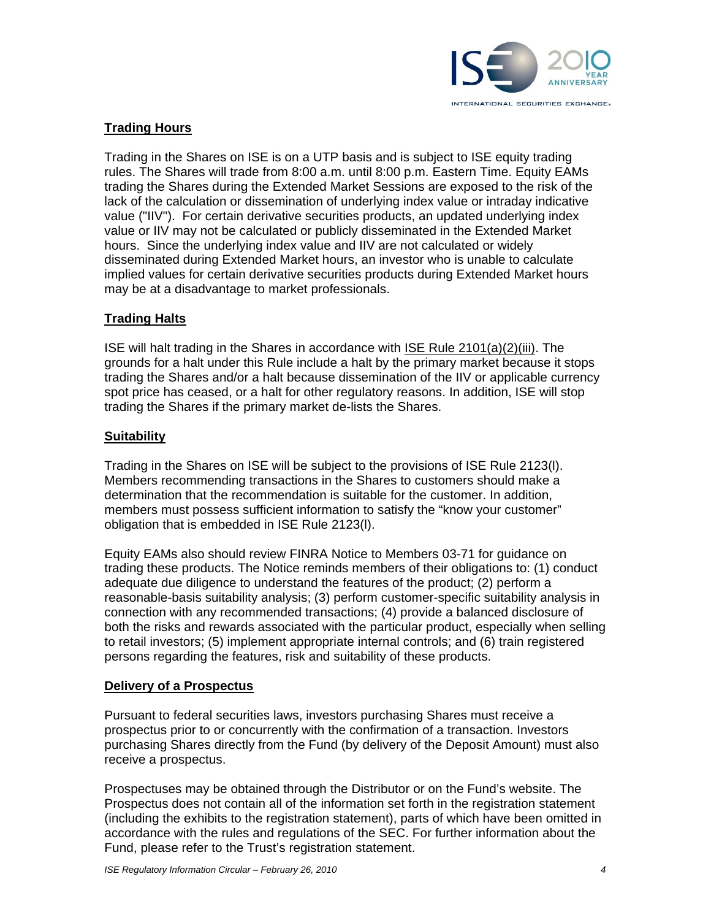

# **Trading Hours**

Trading in the Shares on ISE is on a UTP basis and is subject to ISE equity trading rules. The Shares will trade from 8:00 a.m. until 8:00 p.m. Eastern Time. Equity EAMs trading the Shares during the Extended Market Sessions are exposed to the risk of the lack of the calculation or dissemination of underlying index value or intraday indicative value ("IIV"). For certain derivative securities products, an updated underlying index value or IIV may not be calculated or publicly disseminated in the Extended Market hours. Since the underlying index value and IIV are not calculated or widely disseminated during Extended Market hours, an investor who is unable to calculate implied values for certain derivative securities products during Extended Market hours may be at a disadvantage to market professionals.

## **Trading Halts**

ISE will halt trading in the Shares in accordance with ISE Rule 2101(a)(2)(iii). The grounds for a halt under this Rule include a halt by the primary market because it stops trading the Shares and/or a halt because dissemination of the IIV or applicable currency spot price has ceased, or a halt for other regulatory reasons. In addition, ISE will stop trading the Shares if the primary market de-lists the Shares.

### **Suitability**

Trading in the Shares on ISE will be subject to the provisions of ISE Rule 2123(l). Members recommending transactions in the Shares to customers should make a determination that the recommendation is suitable for the customer. In addition, members must possess sufficient information to satisfy the "know your customer" obligation that is embedded in ISE Rule 2123(l).

Equity EAMs also should review FINRA Notice to Members 03-71 for guidance on trading these products. The Notice reminds members of their obligations to: (1) conduct adequate due diligence to understand the features of the product; (2) perform a reasonable-basis suitability analysis; (3) perform customer-specific suitability analysis in connection with any recommended transactions; (4) provide a balanced disclosure of both the risks and rewards associated with the particular product, especially when selling to retail investors; (5) implement appropriate internal controls; and (6) train registered persons regarding the features, risk and suitability of these products.

### **Delivery of a Prospectus**

Pursuant to federal securities laws, investors purchasing Shares must receive a prospectus prior to or concurrently with the confirmation of a transaction. Investors purchasing Shares directly from the Fund (by delivery of the Deposit Amount) must also receive a prospectus.

Prospectuses may be obtained through the Distributor or on the Fund's website. The Prospectus does not contain all of the information set forth in the registration statement (including the exhibits to the registration statement), parts of which have been omitted in accordance with the rules and regulations of the SEC. For further information about the Fund, please refer to the Trust's registration statement.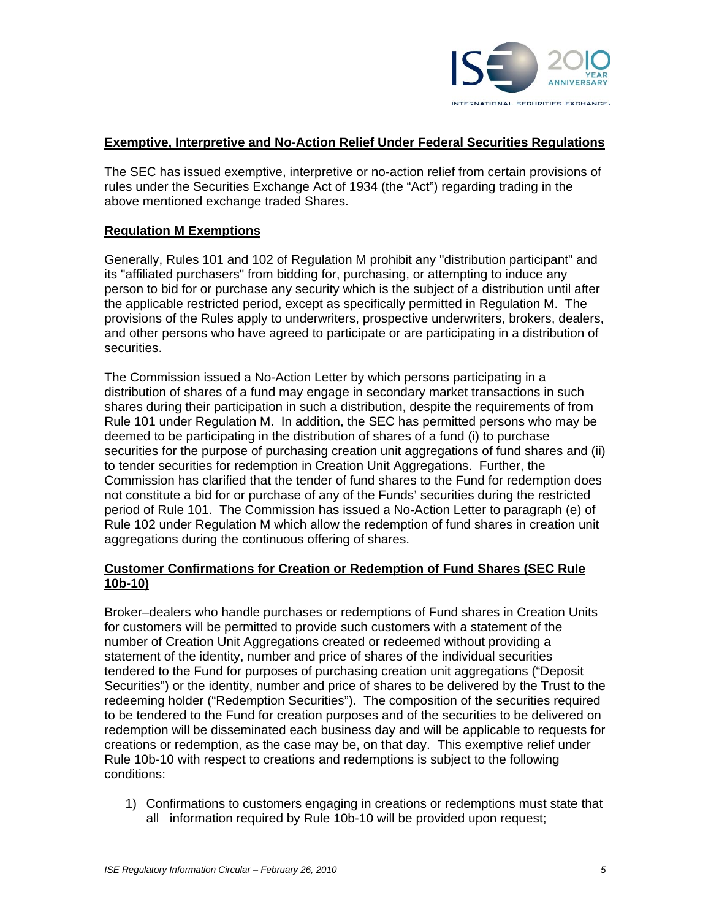

#### **Exemptive, Interpretive and No-Action Relief Under Federal Securities Regulations**

The SEC has issued exemptive, interpretive or no-action relief from certain provisions of rules under the Securities Exchange Act of 1934 (the "Act") regarding trading in the above mentioned exchange traded Shares.

#### **Regulation M Exemptions**

Generally, Rules 101 and 102 of Regulation M prohibit any "distribution participant" and its "affiliated purchasers" from bidding for, purchasing, or attempting to induce any person to bid for or purchase any security which is the subject of a distribution until after the applicable restricted period, except as specifically permitted in Regulation M. The provisions of the Rules apply to underwriters, prospective underwriters, brokers, dealers, and other persons who have agreed to participate or are participating in a distribution of securities.

The Commission issued a No-Action Letter by which persons participating in a distribution of shares of a fund may engage in secondary market transactions in such shares during their participation in such a distribution, despite the requirements of from Rule 101 under Regulation M. In addition, the SEC has permitted persons who may be deemed to be participating in the distribution of shares of a fund (i) to purchase securities for the purpose of purchasing creation unit aggregations of fund shares and (ii) to tender securities for redemption in Creation Unit Aggregations. Further, the Commission has clarified that the tender of fund shares to the Fund for redemption does not constitute a bid for or purchase of any of the Funds' securities during the restricted period of Rule 101. The Commission has issued a No-Action Letter to paragraph (e) of Rule 102 under Regulation M which allow the redemption of fund shares in creation unit aggregations during the continuous offering of shares.

#### **Customer Confirmations for Creation or Redemption of Fund Shares (SEC Rule 10b-10)**

Broker–dealers who handle purchases or redemptions of Fund shares in Creation Units for customers will be permitted to provide such customers with a statement of the number of Creation Unit Aggregations created or redeemed without providing a statement of the identity, number and price of shares of the individual securities tendered to the Fund for purposes of purchasing creation unit aggregations ("Deposit Securities") or the identity, number and price of shares to be delivered by the Trust to the redeeming holder ("Redemption Securities"). The composition of the securities required to be tendered to the Fund for creation purposes and of the securities to be delivered on redemption will be disseminated each business day and will be applicable to requests for creations or redemption, as the case may be, on that day. This exemptive relief under Rule 10b-10 with respect to creations and redemptions is subject to the following conditions:

1) Confirmations to customers engaging in creations or redemptions must state that all information required by Rule 10b-10 will be provided upon request;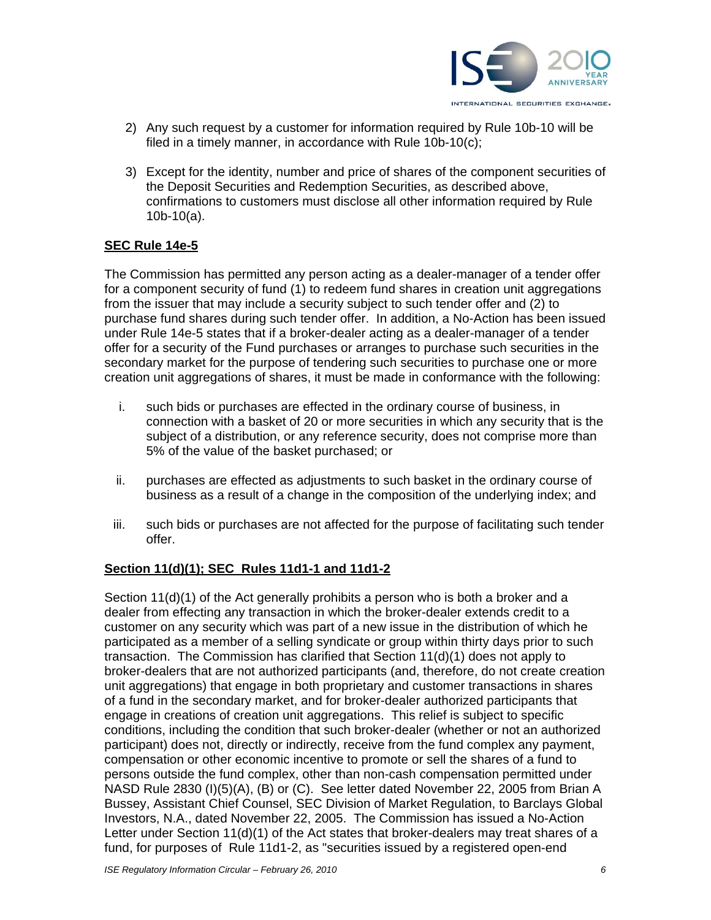

- 2) Any such request by a customer for information required by Rule 10b-10 will be filed in a timely manner, in accordance with Rule 10b-10(c);
- 3) Except for the identity, number and price of shares of the component securities of the Deposit Securities and Redemption Securities, as described above, confirmations to customers must disclose all other information required by Rule 10b-10(a).

## **SEC Rule 14e-5**

The Commission has permitted any person acting as a dealer-manager of a tender offer for a component security of fund (1) to redeem fund shares in creation unit aggregations from the issuer that may include a security subject to such tender offer and (2) to purchase fund shares during such tender offer. In addition, a No-Action has been issued under Rule 14e-5 states that if a broker-dealer acting as a dealer-manager of a tender offer for a security of the Fund purchases or arranges to purchase such securities in the secondary market for the purpose of tendering such securities to purchase one or more creation unit aggregations of shares, it must be made in conformance with the following:

- i. such bids or purchases are effected in the ordinary course of business, in connection with a basket of 20 or more securities in which any security that is the subject of a distribution, or any reference security, does not comprise more than 5% of the value of the basket purchased; or
- ii. purchases are effected as adjustments to such basket in the ordinary course of business as a result of a change in the composition of the underlying index; and
- iii. such bids or purchases are not affected for the purpose of facilitating such tender offer.

### **Section 11(d)(1); SEC Rules 11d1-1 and 11d1-2**

Section 11(d)(1) of the Act generally prohibits a person who is both a broker and a dealer from effecting any transaction in which the broker-dealer extends credit to a customer on any security which was part of a new issue in the distribution of which he participated as a member of a selling syndicate or group within thirty days prior to such transaction. The Commission has clarified that Section 11(d)(1) does not apply to broker-dealers that are not authorized participants (and, therefore, do not create creation unit aggregations) that engage in both proprietary and customer transactions in shares of a fund in the secondary market, and for broker-dealer authorized participants that engage in creations of creation unit aggregations. This relief is subject to specific conditions, including the condition that such broker-dealer (whether or not an authorized participant) does not, directly or indirectly, receive from the fund complex any payment, compensation or other economic incentive to promote or sell the shares of a fund to persons outside the fund complex, other than non-cash compensation permitted under NASD Rule 2830 (I)(5)(A), (B) or (C). See letter dated November 22, 2005 from Brian A Bussey, Assistant Chief Counsel, SEC Division of Market Regulation, to Barclays Global Investors, N.A., dated November 22, 2005. The Commission has issued a No-Action Letter under Section 11(d)(1) of the Act states that broker-dealers may treat shares of a fund, for purposes of Rule 11d1-2, as "securities issued by a registered open-end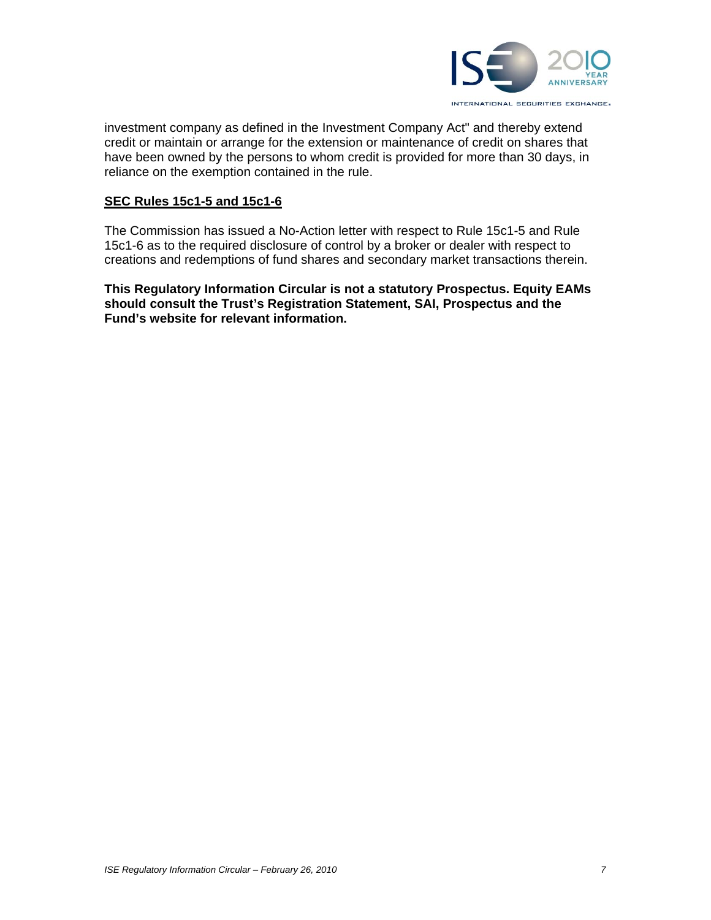

investment company as defined in the Investment Company Act" and thereby extend credit or maintain or arrange for the extension or maintenance of credit on shares that have been owned by the persons to whom credit is provided for more than 30 days, in reliance on the exemption contained in the rule.

#### **SEC Rules 15c1-5 and 15c1-6**

The Commission has issued a No-Action letter with respect to Rule 15c1-5 and Rule 15c1-6 as to the required disclosure of control by a broker or dealer with respect to creations and redemptions of fund shares and secondary market transactions therein.

**This Regulatory Information Circular is not a statutory Prospectus. Equity EAMs should consult the Trust's Registration Statement, SAI, Prospectus and the Fund's website for relevant information.**